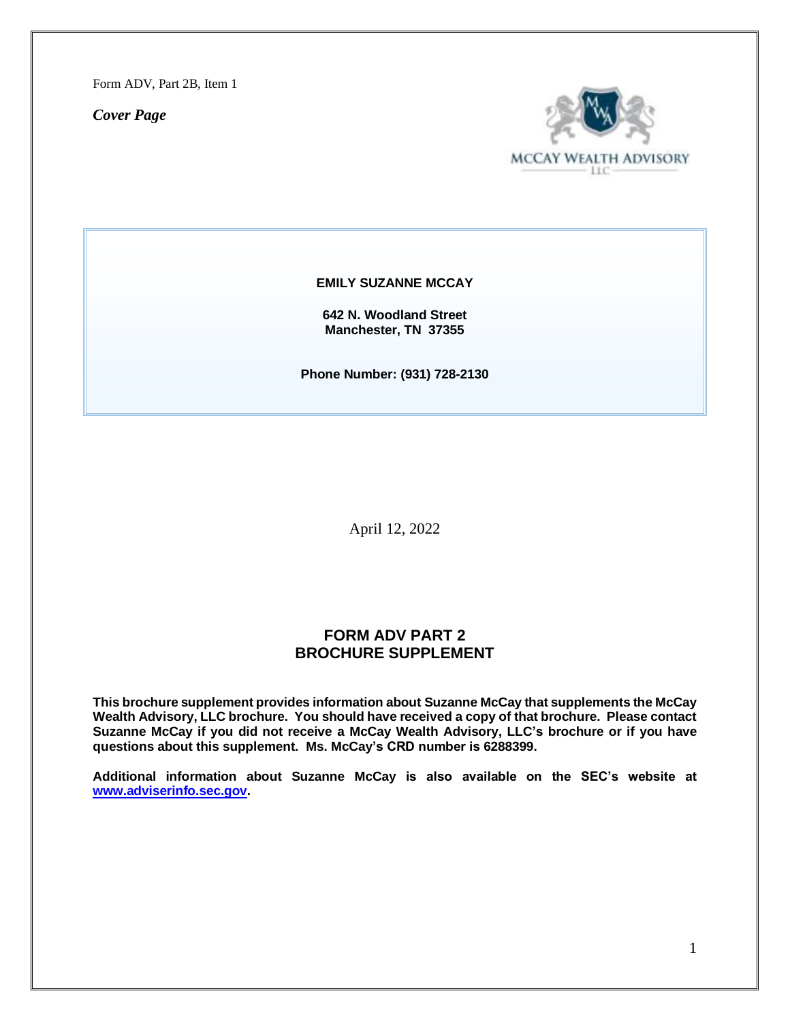Form ADV, Part 2B, Item 1

*Cover Page*



**EMILY SUZANNE MCCAY**

**642 N. Woodland Street Manchester, TN 37355**

**Phone Number: (931) 728-2130**

April 12, 2022

# **FORM ADV PART 2 BROCHURE SUPPLEMENT**

**This brochure supplement provides information about Suzanne McCay that supplements the McCay Wealth Advisory, LLC brochure. You should have received a copy of that brochure. Please contact Suzanne McCay if you did not receive a McCay Wealth Advisory, LLC's brochure or if you have questions about this supplement. Ms. McCay's CRD number is 6288399.**

**Additional information about Suzanne McCay is also available on the SEC's website at [www.adviserinfo.sec.gov.](http://www.adviserinfo.sec.gov/)**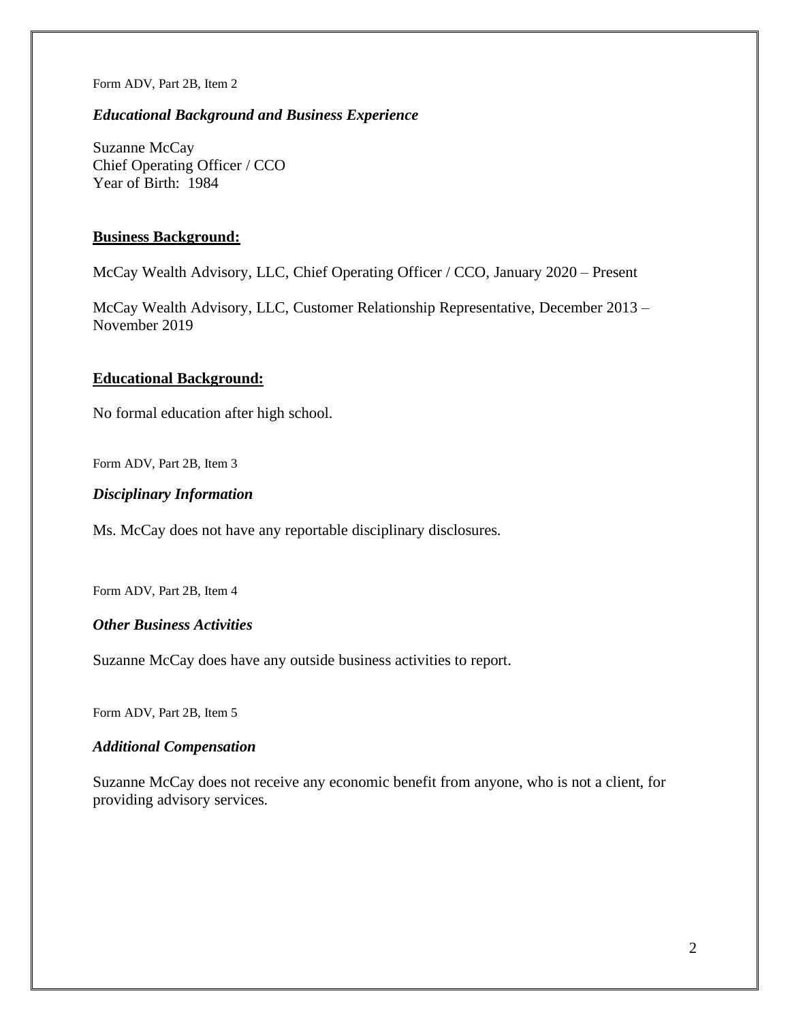Form ADV, Part 2B, Item 2

## *Educational Background and Business Experience*

Suzanne McCay Chief Operating Officer / CCO Year of Birth: 1984

### **Business Background:**

McCay Wealth Advisory, LLC, Chief Operating Officer / CCO, January 2020 – Present

McCay Wealth Advisory, LLC, Customer Relationship Representative, December 2013 – November 2019

## **Educational Background:**

No formal education after high school.

Form ADV, Part 2B, Item 3

### *Disciplinary Information*

Ms. McCay does not have any reportable disciplinary disclosures.

Form ADV, Part 2B, Item 4

# *Other Business Activities*

Suzanne McCay does have any outside business activities to report.

Form ADV, Part 2B, Item 5

#### *Additional Compensation*

Suzanne McCay does not receive any economic benefit from anyone, who is not a client, for providing advisory services.